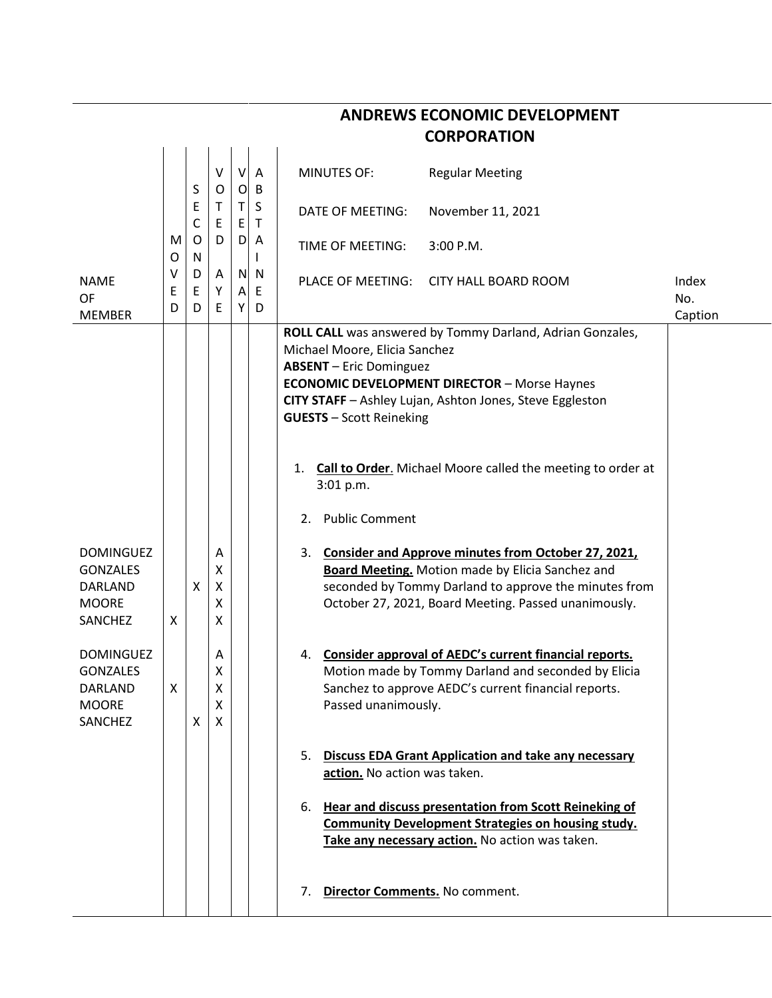|                                                                                  | <b>CORPORATION</b> |                                  |                       |                               |                   |                                                                                                                                                                                                                                                                                               |                                                                                                                                                                                                                                 |              |  |  |
|----------------------------------------------------------------------------------|--------------------|----------------------------------|-----------------------|-------------------------------|-------------------|-----------------------------------------------------------------------------------------------------------------------------------------------------------------------------------------------------------------------------------------------------------------------------------------------|---------------------------------------------------------------------------------------------------------------------------------------------------------------------------------------------------------------------------------|--------------|--|--|
|                                                                                  |                    |                                  | V<br>O                | $\mathsf{V}$                  | A<br>B            | <b>MINUTES OF:</b>                                                                                                                                                                                                                                                                            | <b>Regular Meeting</b>                                                                                                                                                                                                          |              |  |  |
|                                                                                  | M<br>0             | S<br>E<br>C<br>$\mathsf{O}$<br>N | Τ<br>E<br>D           | $\overline{O}$<br>Τ<br>E<br>D | S<br>$\mathsf{T}$ | DATE OF MEETING:                                                                                                                                                                                                                                                                              | November 11, 2021                                                                                                                                                                                                               |              |  |  |
|                                                                                  |                    |                                  |                       |                               | A<br>I.           | TIME OF MEETING:                                                                                                                                                                                                                                                                              | 3:00 P.M.                                                                                                                                                                                                                       |              |  |  |
| <b>NAME</b><br><b>OF</b>                                                         | v<br>Ε<br>D        | D<br>Ε<br>D                      | Α<br>Υ<br>E           | Α<br>Y                        | N N<br>E<br>D     | PLACE OF MEETING:                                                                                                                                                                                                                                                                             | <b>CITY HALL BOARD ROOM</b>                                                                                                                                                                                                     | Index<br>No. |  |  |
| <b>MEMBER</b>                                                                    |                    |                                  |                       |                               |                   | Caption<br>ROLL CALL was answered by Tommy Darland, Adrian Gonzales,<br>Michael Moore, Elicia Sanchez<br><b>ABSENT</b> - Eric Dominguez<br><b>ECONOMIC DEVELOPMENT DIRECTOR - Morse Haynes</b><br>CITY STAFF - Ashley Lujan, Ashton Jones, Steve Eggleston<br><b>GUESTS</b> - Scott Reineking |                                                                                                                                                                                                                                 |              |  |  |
|                                                                                  |                    |                                  |                       |                               |                   | 1.<br>3:01 p.m.                                                                                                                                                                                                                                                                               | <b>Call to Order.</b> Michael Moore called the meeting to order at                                                                                                                                                              |              |  |  |
|                                                                                  |                    |                                  |                       |                               |                   | <b>Public Comment</b><br>2.                                                                                                                                                                                                                                                                   |                                                                                                                                                                                                                                 |              |  |  |
| <b>DOMINGUEZ</b><br><b>GONZALES</b><br><b>DARLAND</b><br><b>MOORE</b><br>SANCHEZ | X                  | X                                | Α<br>Χ<br>X<br>χ<br>x |                               |                   | 3.                                                                                                                                                                                                                                                                                            | Consider and Approve minutes from October 27, 2021,<br><b>Board Meeting.</b> Motion made by Elicia Sanchez and<br>seconded by Tommy Darland to approve the minutes from<br>October 27, 2021, Board Meeting. Passed unanimously. |              |  |  |
| <b>DOMINGUEZ</b><br><b>GONZALES</b><br>DARLAND<br><b>MOORE</b><br>SANCHEZ        | х                  | X                                | Α<br>Χ<br>χ<br>Χ<br>X |                               |                   | 4.<br>Passed unanimously.                                                                                                                                                                                                                                                                     | Consider approval of AEDC's current financial reports.<br>Motion made by Tommy Darland and seconded by Elicia<br>Sanchez to approve AEDC's current financial reports.                                                           |              |  |  |
|                                                                                  |                    |                                  |                       |                               |                   | 5.<br>action. No action was taken.                                                                                                                                                                                                                                                            | <b>Discuss EDA Grant Application and take any necessary</b>                                                                                                                                                                     |              |  |  |
|                                                                                  |                    |                                  |                       |                               |                   | 6.                                                                                                                                                                                                                                                                                            | Hear and discuss presentation from Scott Reineking of<br><b>Community Development Strategies on housing study.</b><br>Take any necessary action. No action was taken.                                                           |              |  |  |
|                                                                                  |                    |                                  |                       |                               |                   | Director Comments. No comment.<br>7.                                                                                                                                                                                                                                                          |                                                                                                                                                                                                                                 |              |  |  |

**ANDREWS ECONOMIC DEVELOPMENT**